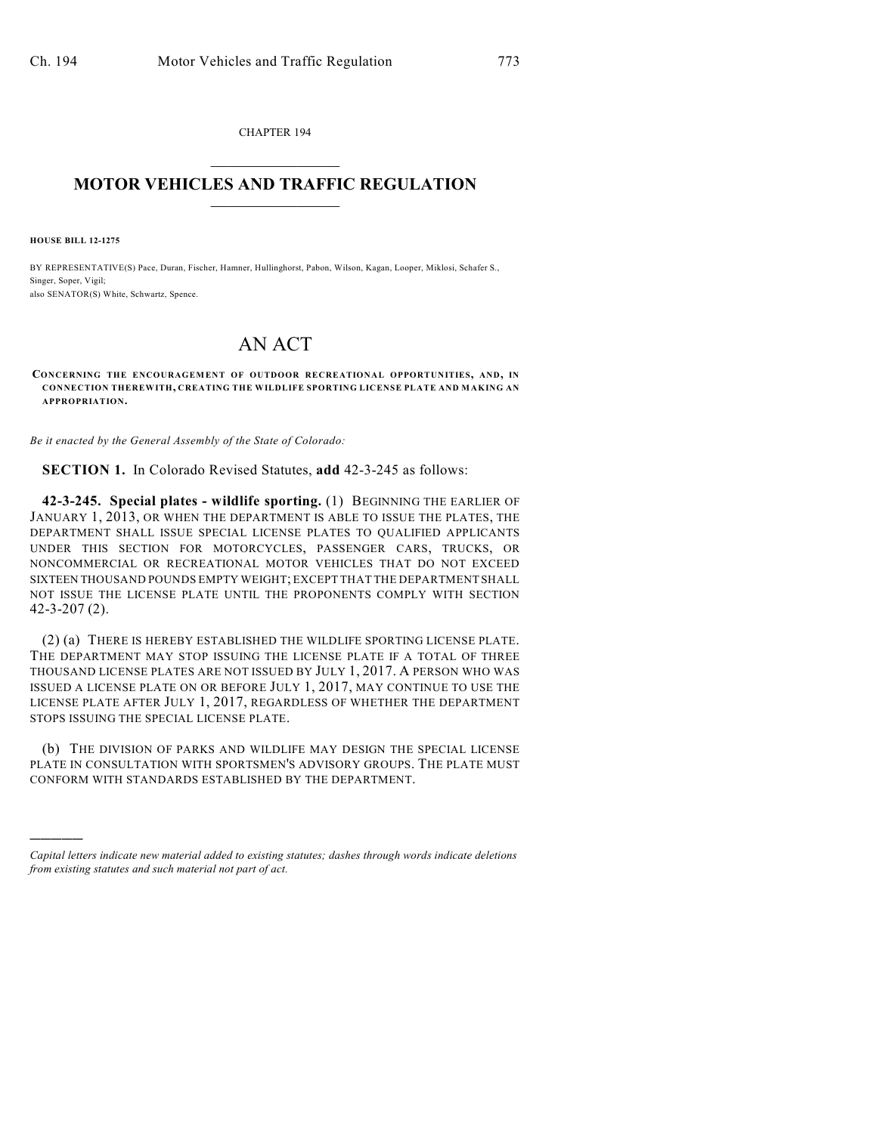CHAPTER 194  $\mathcal{L}_\text{max}$  . The set of the set of the set of the set of the set of the set of the set of the set of the set of the set of the set of the set of the set of the set of the set of the set of the set of the set of the set

## **MOTOR VEHICLES AND TRAFFIC REGULATION**  $\frac{1}{2}$  ,  $\frac{1}{2}$  ,  $\frac{1}{2}$  ,  $\frac{1}{2}$  ,  $\frac{1}{2}$  ,  $\frac{1}{2}$  ,  $\frac{1}{2}$

**HOUSE BILL 12-1275**

)))))

BY REPRESENTATIVE(S) Pace, Duran, Fischer, Hamner, Hullinghorst, Pabon, Wilson, Kagan, Looper, Miklosi, Schafer S., Singer, Soper, Vigil; also SENATOR(S) White, Schwartz, Spence.

## AN ACT

**CONCERNING THE ENCOURAGEMENT OF OUTDOOR RECREATIONAL OPPORTUNITIES, AND, IN CONNECTION THEREWITH, CREATING THE WILDLIFE SPORTING LICENSE PLATE AND MAKING AN APPROPRIATION.**

*Be it enacted by the General Assembly of the State of Colorado:*

**SECTION 1.** In Colorado Revised Statutes, **add** 42-3-245 as follows:

**42-3-245. Special plates - wildlife sporting.** (1) BEGINNING THE EARLIER OF JANUARY 1, 2013, OR WHEN THE DEPARTMENT IS ABLE TO ISSUE THE PLATES, THE DEPARTMENT SHALL ISSUE SPECIAL LICENSE PLATES TO QUALIFIED APPLICANTS UNDER THIS SECTION FOR MOTORCYCLES, PASSENGER CARS, TRUCKS, OR NONCOMMERCIAL OR RECREATIONAL MOTOR VEHICLES THAT DO NOT EXCEED SIXTEEN THOUSAND POUNDS EMPTY WEIGHT; EXCEPT THAT THE DEPARTMENT SHALL NOT ISSUE THE LICENSE PLATE UNTIL THE PROPONENTS COMPLY WITH SECTION 42-3-207 (2).

(2) (a) THERE IS HEREBY ESTABLISHED THE WILDLIFE SPORTING LICENSE PLATE. THE DEPARTMENT MAY STOP ISSUING THE LICENSE PLATE IF A TOTAL OF THREE THOUSAND LICENSE PLATES ARE NOT ISSUED BY JULY 1, 2017. A PERSON WHO WAS ISSUED A LICENSE PLATE ON OR BEFORE JULY 1, 2017, MAY CONTINUE TO USE THE LICENSE PLATE AFTER JULY 1, 2017, REGARDLESS OF WHETHER THE DEPARTMENT STOPS ISSUING THE SPECIAL LICENSE PLATE.

(b) THE DIVISION OF PARKS AND WILDLIFE MAY DESIGN THE SPECIAL LICENSE PLATE IN CONSULTATION WITH SPORTSMEN'S ADVISORY GROUPS. THE PLATE MUST CONFORM WITH STANDARDS ESTABLISHED BY THE DEPARTMENT.

*Capital letters indicate new material added to existing statutes; dashes through words indicate deletions from existing statutes and such material not part of act.*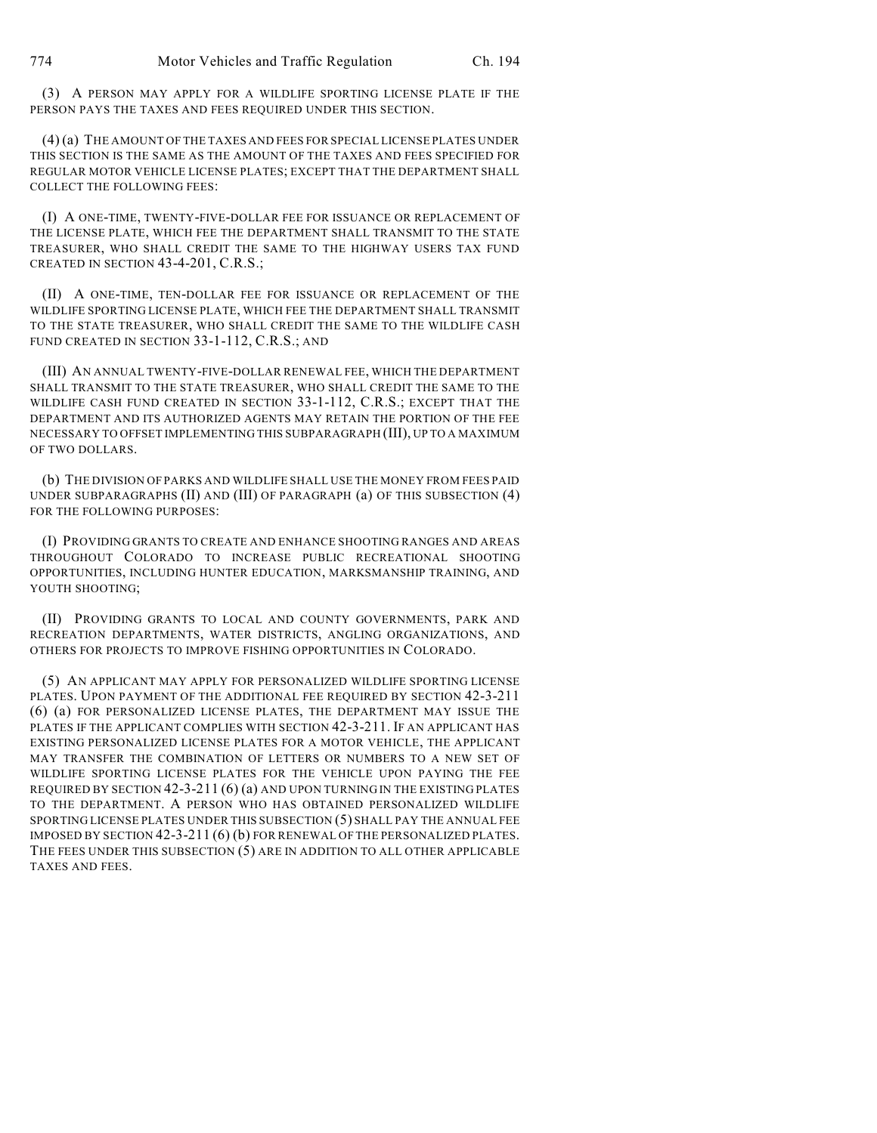(3) A PERSON MAY APPLY FOR A WILDLIFE SPORTING LICENSE PLATE IF THE PERSON PAYS THE TAXES AND FEES REQUIRED UNDER THIS SECTION.

(4) (a) THE AMOUNT OF THE TAXES AND FEES FOR SPECIAL LICENSE PLATES UNDER THIS SECTION IS THE SAME AS THE AMOUNT OF THE TAXES AND FEES SPECIFIED FOR REGULAR MOTOR VEHICLE LICENSE PLATES; EXCEPT THAT THE DEPARTMENT SHALL COLLECT THE FOLLOWING FEES:

(I) A ONE-TIME, TWENTY-FIVE-DOLLAR FEE FOR ISSUANCE OR REPLACEMENT OF THE LICENSE PLATE, WHICH FEE THE DEPARTMENT SHALL TRANSMIT TO THE STATE TREASURER, WHO SHALL CREDIT THE SAME TO THE HIGHWAY USERS TAX FUND CREATED IN SECTION 43-4-201, C.R.S.;

(II) A ONE-TIME, TEN-DOLLAR FEE FOR ISSUANCE OR REPLACEMENT OF THE WILDLIFE SPORTING LICENSE PLATE, WHICH FEE THE DEPARTMENT SHALL TRANSMIT TO THE STATE TREASURER, WHO SHALL CREDIT THE SAME TO THE WILDLIFE CASH FUND CREATED IN SECTION 33-1-112, C.R.S.; AND

(III) AN ANNUAL TWENTY-FIVE-DOLLAR RENEWAL FEE, WHICH THE DEPARTMENT SHALL TRANSMIT TO THE STATE TREASURER, WHO SHALL CREDIT THE SAME TO THE WILDLIFE CASH FUND CREATED IN SECTION 33-1-112, C.R.S.; EXCEPT THAT THE DEPARTMENT AND ITS AUTHORIZED AGENTS MAY RETAIN THE PORTION OF THE FEE NECESSARY TO OFFSET IMPLEMENTING THIS SUBPARAGRAPH (III), UP TO A MAXIMUM OF TWO DOLLARS.

(b) THE DIVISION OF PARKS AND WILDLIFE SHALL USE THE MONEY FROM FEES PAID UNDER SUBPARAGRAPHS (II) AND (III) OF PARAGRAPH (a) OF THIS SUBSECTION (4) FOR THE FOLLOWING PURPOSES:

(I) PROVIDING GRANTS TO CREATE AND ENHANCE SHOOTING RANGES AND AREAS THROUGHOUT COLORADO TO INCREASE PUBLIC RECREATIONAL SHOOTING OPPORTUNITIES, INCLUDING HUNTER EDUCATION, MARKSMANSHIP TRAINING, AND YOUTH SHOOTING;

(II) PROVIDING GRANTS TO LOCAL AND COUNTY GOVERNMENTS, PARK AND RECREATION DEPARTMENTS, WATER DISTRICTS, ANGLING ORGANIZATIONS, AND OTHERS FOR PROJECTS TO IMPROVE FISHING OPPORTUNITIES IN COLORADO.

(5) AN APPLICANT MAY APPLY FOR PERSONALIZED WILDLIFE SPORTING LICENSE PLATES. UPON PAYMENT OF THE ADDITIONAL FEE REQUIRED BY SECTION 42-3-211 (6) (a) FOR PERSONALIZED LICENSE PLATES, THE DEPARTMENT MAY ISSUE THE PLATES IF THE APPLICANT COMPLIES WITH SECTION 42-3-211. IF AN APPLICANT HAS EXISTING PERSONALIZED LICENSE PLATES FOR A MOTOR VEHICLE, THE APPLICANT MAY TRANSFER THE COMBINATION OF LETTERS OR NUMBERS TO A NEW SET OF WILDLIFE SPORTING LICENSE PLATES FOR THE VEHICLE UPON PAYING THE FEE REQUIRED BY SECTION 42-3-211 (6) (a) AND UPON TURNING IN THE EXISTING PLATES TO THE DEPARTMENT. A PERSON WHO HAS OBTAINED PERSONALIZED WILDLIFE SPORTING LICENSE PLATES UNDER THIS SUBSECTION (5) SHALL PAY THE ANNUAL FEE IMPOSED BY SECTION 42-3-211 (6) (b) FOR RENEWAL OF THE PERSONALIZED PLATES. THE FEES UNDER THIS SUBSECTION (5) ARE IN ADDITION TO ALL OTHER APPLICABLE TAXES AND FEES.